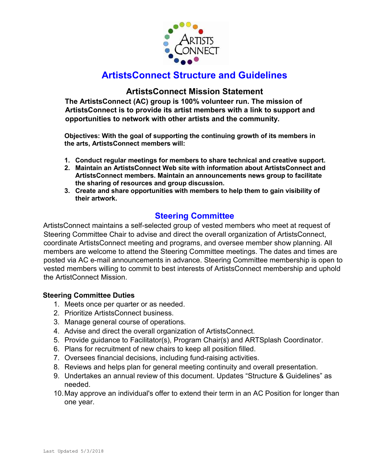

# ArtistsConnect Structure and Guidelines

# ArtistsConnect Mission Statement

The ArtistsConnect (AC) group is 100% volunteer run. The mission of ArtistsConnect is to provide its artist members with a link to support and opportunities to network with other artists and the community.

Objectives: With the goal of supporting the continuing growth of its members in the arts, ArtistsConnect members will:

- 1. Conduct regular meetings for members to share technical and creative support.
- 2. Maintain an ArtistsConnect Web site with information about ArtistsConnect and ArtistsConnect members. Maintain an announcements news group to facilitate the sharing of resources and group discussion.
- 3. Create and share opportunities with members to help them to gain visibility of their artwork.

# Steering Committee

ArtistsConnect maintains a self-selected group of vested members who meet at request of Steering Committee Chair to advise and direct the overall organization of ArtistsConnect, coordinate ArtistsConnect meeting and programs, and oversee member show planning. All members are welcome to attend the Steering Committee meetings. The dates and times are posted via AC e-mail announcements in advance. Steering Committee membership is open to vested members willing to commit to best interests of ArtistsConnect membership and uphold the ArtistConnect Mission.

# Steering Committee Duties

- 1. Meets once per quarter or as needed.
- 2. Prioritize ArtistsConnect business.
- 3. Manage general course of operations.
- 4. Advise and direct the overall organization of ArtistsConnect.
- 5. Provide guidance to Facilitator(s), Program Chair(s) and ARTSplash Coordinator.
- 6. Plans for recruitment of new chairs to keep all position filled.
- 7. Oversees financial decisions, including fund-raising activities.
- 8. Reviews and helps plan for general meeting continuity and overall presentation.
- 9. Undertakes an annual review of this document. Updates "Structure & Guidelines" as needed.
- 10. May approve an individual's offer to extend their term in an AC Position for longer than one year.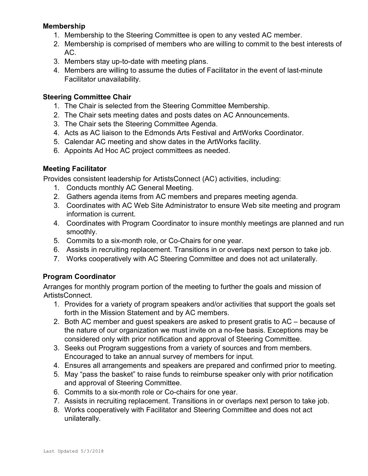# Membership

- 1. Membership to the Steering Committee is open to any vested AC member.
- 2. Membership is comprised of members who are willing to commit to the best interests of AC.
- 3. Members stay up-to-date with meeting plans.
- 4. Members are willing to assume the duties of Facilitator in the event of last-minute Facilitator unavailability.

# Steering Committee Chair

- 1. The Chair is selected from the Steering Committee Membership.
- 2. The Chair sets meeting dates and posts dates on AC Announcements.
- 3. The Chair sets the Steering Committee Agenda.
- 4. Acts as AC liaison to the Edmonds Arts Festival and ArtWorks Coordinator.
- 5. Calendar AC meeting and show dates in the ArtWorks facility.
- 6. Appoints Ad Hoc AC project committees as needed.

# Meeting Facilitator

Provides consistent leadership for ArtistsConnect (AC) activities, including:

- 1. Conducts monthly AC General Meeting.
- 2. Gathers agenda items from AC members and prepares meeting agenda.
- 3. Coordinates with AC Web Site Administrator to ensure Web site meeting and program information is current.
- 4. Coordinates with Program Coordinator to insure monthly meetings are planned and run smoothly.
- 5. Commits to a six-month role, or Co-Chairs for one year.
- 6. Assists in recruiting replacement. Transitions in or overlaps next person to take job.
- 7. Works cooperatively with AC Steering Committee and does not act unilaterally.

# Program Coordinator

Arranges for monthly program portion of the meeting to further the goals and mission of ArtistsConnect.

- 1. Provides for a variety of program speakers and/or activities that support the goals set forth in the Mission Statement and by AC members.
- 2. Both AC member and guest speakers are asked to present gratis to AC because of the nature of our organization we must invite on a no-fee basis. Exceptions may be considered only with prior notification and approval of Steering Committee.
- 3. Seeks out Program suggestions from a variety of sources and from members. Encouraged to take an annual survey of members for input.
- 4. Ensures all arrangements and speakers are prepared and confirmed prior to meeting.
- 5. May "pass the basket" to raise funds to reimburse speaker only with prior notification and approval of Steering Committee.
- 6. Commits to a six-month role or Co-chairs for one year.
- 7. Assists in recruiting replacement. Transitions in or overlaps next person to take job.
- 8. Works cooperatively with Facilitator and Steering Committee and does not act unilaterally.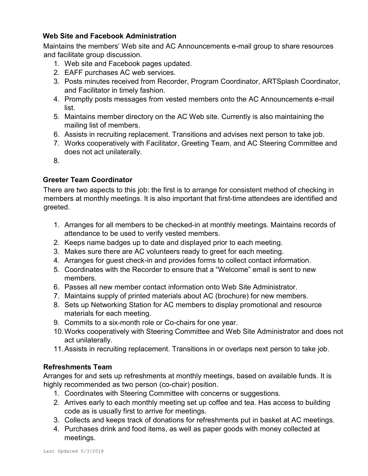# Web Site and Facebook Administration

Maintains the members' Web site and AC Announcements e-mail group to share resources and facilitate group discussion.

- 1. Web site and Facebook pages updated.
- 2. EAFF purchases AC web services.
- 3. Posts minutes received from Recorder, Program Coordinator, ARTSplash Coordinator, and Facilitator in timely fashion.
- 4. Promptly posts messages from vested members onto the AC Announcements e-mail list.
- 5. Maintains member directory on the AC Web site. Currently is also maintaining the mailing list of members.
- 6. Assists in recruiting replacement. Transitions and advises next person to take job.
- 7. Works cooperatively with Facilitator, Greeting Team, and AC Steering Committee and does not act unilaterally.
- 8.

# Greeter Team Coordinator

There are two aspects to this job: the first is to arrange for consistent method of checking in members at monthly meetings. It is also important that first-time attendees are identified and greeted.

- 1. Arranges for all members to be checked-in at monthly meetings. Maintains records of attendance to be used to verify vested members.
- 2. Keeps name badges up to date and displayed prior to each meeting.
- 3. Makes sure there are AC volunteers ready to greet for each meeting.
- 4. Arranges for guest check-in and provides forms to collect contact information.
- 5. Coordinates with the Recorder to ensure that a "Welcome" email is sent to new members.
- 6. Passes all new member contact information onto Web Site Administrator.
- 7. Maintains supply of printed materials about AC (brochure) for new members.
- 8. Sets up Networking Station for AC members to display promotional and resource materials for each meeting.
- 9. Commits to a six-month role or Co-chairs for one year.
- 10. Works cooperatively with Steering Committee and Web Site Administrator and does not act unilaterally.
- 11. Assists in recruiting replacement. Transitions in or overlaps next person to take job.

#### Refreshments Team

Arranges for and sets up refreshments at monthly meetings, based on available funds. It is highly recommended as two person (co-chair) position.

- 1. Coordinates with Steering Committee with concerns or suggestions.
- 2. Arrives early to each monthly meeting set up coffee and tea. Has access to building code as is usually first to arrive for meetings.
- 3. Collects and keeps track of donations for refreshments put in basket at AC meetings.
- 4. Purchases drink and food items, as well as paper goods with money collected at meetings.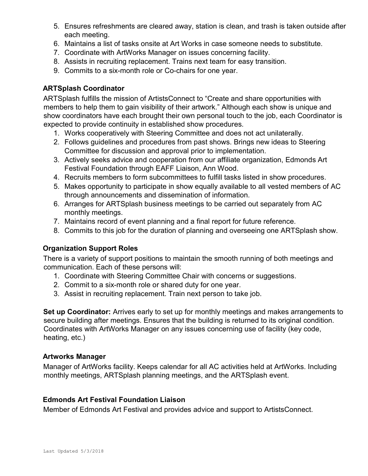- 5. Ensures refreshments are cleared away, station is clean, and trash is taken outside after each meeting.
- 6. Maintains a list of tasks onsite at Art Works in case someone needs to substitute.
- 7. Coordinate with ArtWorks Manager on issues concerning facility.
- 8. Assists in recruiting replacement. Trains next team for easy transition.
- 9. Commits to a six-month role or Co-chairs for one year.

# ARTSplash Coordinator

ARTSplash fulfills the mission of ArtistsConnect to "Create and share opportunities with members to help them to gain visibility of their artwork." Although each show is unique and show coordinators have each brought their own personal touch to the job, each Coordinator is expected to provide continuity in established show procedures.

- 1. Works cooperatively with Steering Committee and does not act unilaterally.
- 2. Follows guidelines and procedures from past shows. Brings new ideas to Steering Committee for discussion and approval prior to implementation.
- 3. Actively seeks advice and cooperation from our affiliate organization, Edmonds Art Festival Foundation through EAFF Liaison, Ann Wood.
- 4. Recruits members to form subcommittees to fulfill tasks listed in show procedures.
- 5. Makes opportunity to participate in show equally available to all vested members of AC through announcements and dissemination of information.
- 6. Arranges for ARTSplash business meetings to be carried out separately from AC monthly meetings.
- 7. Maintains record of event planning and a final report for future reference.
- 8. Commits to this job for the duration of planning and overseeing one ARTSplash show.

#### Organization Support Roles

There is a variety of support positions to maintain the smooth running of both meetings and communication. Each of these persons will:

- 1. Coordinate with Steering Committee Chair with concerns or suggestions.
- 2. Commit to a six-month role or shared duty for one year.
- 3. Assist in recruiting replacement. Train next person to take job.

Set up Coordinator: Arrives early to set up for monthly meetings and makes arrangements to secure building after meetings. Ensures that the building is returned to its original condition. Coordinates with ArtWorks Manager on any issues concerning use of facility (key code, heating, etc.)

#### Artworks Manager

Manager of ArtWorks facility. Keeps calendar for all AC activities held at ArtWorks. Including monthly meetings, ARTSplash planning meetings, and the ARTSplash event.

#### Edmonds Art Festival Foundation Liaison

Member of Edmonds Art Festival and provides advice and support to ArtistsConnect.